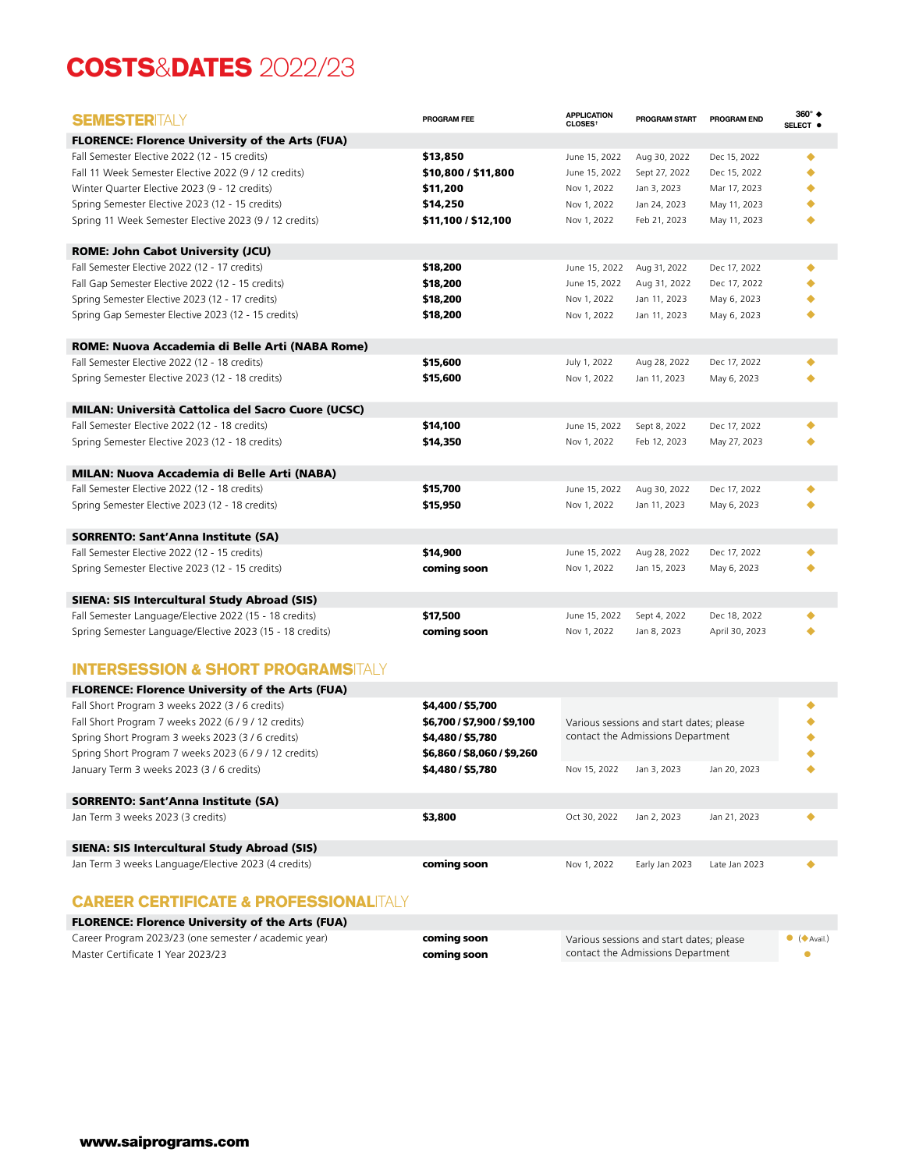## **COSTS**&**DATES** 2022/23

| <b>SEMESTER</b> ITALY                                                                     | PROGRAM FEE                 | <b>APPLICATION</b><br>CLOSES <sup>+</sup> | PROGRAM START                            | <b>PROGRAM END</b> | 360° ♦<br>SELECT <sup>O</sup> |
|-------------------------------------------------------------------------------------------|-----------------------------|-------------------------------------------|------------------------------------------|--------------------|-------------------------------|
| <b>FLORENCE: Florence University of the Arts (FUA)</b>                                    |                             |                                           |                                          |                    |                               |
| Fall Semester Elective 2022 (12 - 15 credits)                                             | \$13,850                    | June 15, 2022                             | Aug 30, 2022                             | Dec 15, 2022       | ٠                             |
| Fall 11 Week Semester Elective 2022 (9 / 12 credits)                                      | \$10,800 / \$11,800         | June 15, 2022                             | Sept 27, 2022                            | Dec 15, 2022       |                               |
| Winter Quarter Elective 2023 (9 - 12 credits)                                             | \$11,200                    | Nov 1, 2022                               | Jan 3, 2023                              | Mar 17, 2023       |                               |
| Spring Semester Elective 2023 (12 - 15 credits)                                           | \$14,250                    | Nov 1, 2022                               | Jan 24, 2023                             | May 11, 2023       |                               |
| Spring 11 Week Semester Elective 2023 (9 / 12 credits)                                    | \$11,100 / \$12,100         | Nov 1, 2022                               | Feb 21, 2023                             | May 11, 2023       |                               |
|                                                                                           |                             |                                           |                                          |                    |                               |
| <b>ROME: John Cabot University (JCU)</b><br>Fall Semester Elective 2022 (12 - 17 credits) | \$18,200                    | June 15, 2022                             | Aug 31, 2022                             | Dec 17, 2022       | ▲                             |
| Fall Gap Semester Elective 2022 (12 - 15 credits)                                         | \$18,200                    | June 15, 2022                             | Aug 31, 2022                             | Dec 17, 2022       |                               |
| Spring Semester Elective 2023 (12 - 17 credits)                                           | \$18,200                    | Nov 1, 2022                               | Jan 11, 2023                             | May 6, 2023        |                               |
| Spring Gap Semester Elective 2023 (12 - 15 credits)                                       | \$18,200                    | Nov 1, 2022                               | Jan 11, 2023                             | May 6, 2023        |                               |
|                                                                                           |                             |                                           |                                          |                    |                               |
| ROME: Nuova Accademia di Belle Arti (NABA Rome)                                           |                             |                                           |                                          |                    |                               |
| Fall Semester Elective 2022 (12 - 18 credits)                                             | \$15,600                    | July 1, 2022                              | Aug 28, 2022                             | Dec 17, 2022       | ٠                             |
| Spring Semester Elective 2023 (12 - 18 credits)                                           | \$15,600                    | Nov 1, 2022                               | Jan 11, 2023                             | May 6, 2023        |                               |
| <b>MILAN: Università Cattolica del Sacro Cuore (UCSC)</b>                                 |                             |                                           |                                          |                    |                               |
| Fall Semester Elective 2022 (12 - 18 credits)                                             | \$14,100                    | June 15, 2022                             | Sept 8, 2022                             | Dec 17, 2022       |                               |
| Spring Semester Elective 2023 (12 - 18 credits)                                           | \$14,350                    | Nov 1, 2022                               | Feb 12, 2023                             | May 27, 2023       |                               |
|                                                                                           |                             |                                           |                                          |                    |                               |
| <b>MILAN: Nuova Accademia di Belle Arti (NABA)</b>                                        |                             |                                           |                                          |                    |                               |
| Fall Semester Elective 2022 (12 - 18 credits)                                             | \$15,700                    | June 15, 2022                             | Aug 30, 2022                             | Dec 17, 2022       |                               |
| Spring Semester Elective 2023 (12 - 18 credits)                                           | \$15,950                    | Nov 1, 2022                               | Jan 11, 2023                             | May 6, 2023        |                               |
| <b>SORRENTO: Sant'Anna Institute (SA)</b>                                                 |                             |                                           |                                          |                    |                               |
| Fall Semester Elective 2022 (12 - 15 credits)                                             | \$14,900                    | June 15, 2022                             | Aug 28, 2022                             | Dec 17, 2022       |                               |
| Spring Semester Elective 2023 (12 - 15 credits)                                           | coming soon                 | Nov 1, 2022                               | Jan 15, 2023                             | May 6, 2023        |                               |
|                                                                                           |                             |                                           |                                          |                    |                               |
| SIENA: SIS Intercultural Study Abroad (SIS)                                               |                             |                                           |                                          |                    |                               |
| Fall Semester Language/Elective 2022 (15 - 18 credits)                                    | \$17,500                    | June 15, 2022                             | Sept 4, 2022                             | Dec 18, 2022       |                               |
| Spring Semester Language/Elective 2023 (15 - 18 credits)                                  | coming soon                 | Nov 1, 2022                               | Jan 8, 2023                              | April 30, 2023     |                               |
|                                                                                           |                             |                                           |                                          |                    |                               |
| INTERSESSION & SHORT PROGRAMSITALY                                                        |                             |                                           |                                          |                    |                               |
| <b>FLORENCE: Florence University of the Arts (FUA)</b>                                    |                             |                                           |                                          |                    |                               |
| Fall Short Program 3 weeks 2022 (3 / 6 credits)                                           | \$4,400 / \$5,700           |                                           |                                          |                    | ٠                             |
| Fall Short Program 7 weeks 2022 (6 / 9 / 12 credits)                                      | \$6,700 / \$7,900 / \$9,100 |                                           | Various sessions and start dates; please |                    |                               |
| Spring Short Program 3 weeks 2023 (3 / 6 credits)                                         | \$4,480 / \$5,780           |                                           | contact the Admissions Department        |                    |                               |
| Spring Short Program 7 weeks 2023 (6 / 9 / 12 credits)                                    | \$6,860 / \$8,060 / \$9,260 |                                           |                                          |                    |                               |
| January Term 3 weeks 2023 (3 / 6 credits)                                                 | \$4,480 / \$5,780           | Nov 15, 2022                              | Jan 3, 2023                              | Jan 20, 2023       |                               |
| <b>SORRENTO: Sant'Anna Institute (SA)</b>                                                 |                             |                                           |                                          |                    |                               |
| Jan Term 3 weeks 2023 (3 credits)                                                         | \$3,800                     | Oct 30, 2022                              | Jan 2, 2023                              | Jan 21, 2023       |                               |
|                                                                                           |                             |                                           |                                          |                    |                               |
| SIENA: SIS Intercultural Study Abroad (SIS)                                               |                             |                                           |                                          |                    |                               |
| Jan Term 3 weeks Language/Elective 2023 (4 credits)                                       | coming soon                 | Nov 1, 2022                               | Early Jan 2023                           | Late Jan 2023      |                               |

## **CAREER CERTIFICATE & PROFESSIONAL**ITALY

| <b>FLORENCE: Florence University of the Arts (FUA)</b> |             |                                          |                               |  |  |  |  |  |  |
|--------------------------------------------------------|-------------|------------------------------------------|-------------------------------|--|--|--|--|--|--|
| Career Program 2023/23 (one semester / academic year)  | coming soon | Various sessions and start dates; please | $\bullet$ ( $\bullet$ Avail.) |  |  |  |  |  |  |
| Master Certificate 1 Year 2023/23                      | comina soon | contact the Admissions Department        |                               |  |  |  |  |  |  |